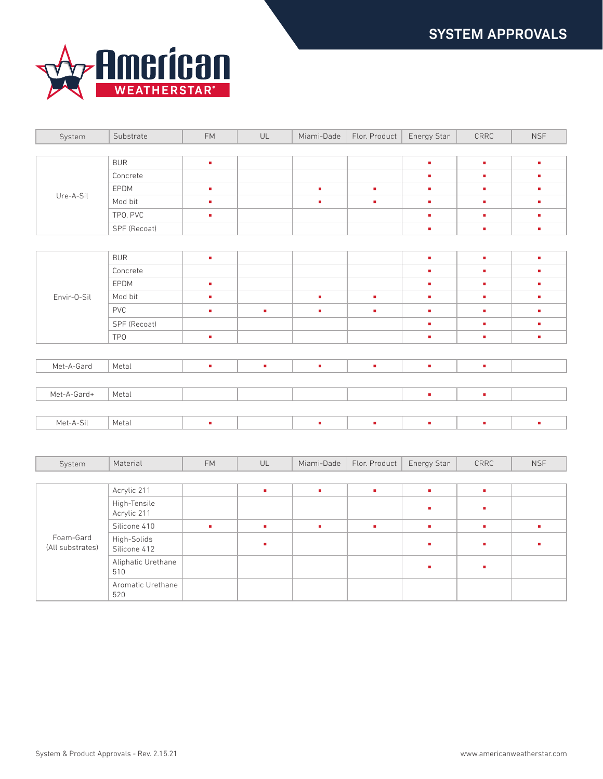

| System                        | Substrate                   | FM         | $\mathsf{UL}$ | Miami-Dade | Flor. Product | Energy Star | $\ensuremath{\mathsf{CRRC}}$ | <b>NSF</b> |
|-------------------------------|-----------------------------|------------|---------------|------------|---------------|-------------|------------------------------|------------|
|                               |                             |            |               |            |               |             |                              |            |
| Ure-A-Sil                     | <b>BUR</b>                  | ٠          |               |            |               | ×.          | ×,                           | ×          |
|                               | Concrete                    |            |               |            |               | ×.          | ٠                            | ٠          |
|                               | EPDM                        | ×          |               | ×.         | ×.            | ×.          | ×.                           | ٠          |
|                               | Mod bit                     | ×,         |               | ٠          | ×.            | à.          | ×.                           | ×          |
|                               | TPO, PVC                    | ×          |               |            |               | ×.          | ٠                            | ×          |
|                               | SPF (Recoat)                |            |               |            |               | ×.          | ×.                           | à,         |
|                               |                             |            |               |            |               |             |                              |            |
| Envir-0-Sil                   | <b>BUR</b>                  | ٠          |               |            |               | ٠           | ×.                           | ×          |
|                               | Concrete                    |            |               |            |               | ×.          | ٠                            | ٠          |
|                               | EPDM                        | ×          |               |            |               | ×.          | ×.                           | ×          |
|                               | Mod bit                     | à,         |               | ×,         | à,            | à.          | ×.                           | ×          |
|                               | PVC                         | ٠          | ٠             | ٠          | ×             | à.          | ٠                            | ×          |
|                               | SPF (Recoat)                |            |               |            |               | à,          | ٠                            | ×          |
|                               | TP <sub>0</sub>             | ×          |               |            |               | ×.          | ×.                           | ×,         |
|                               |                             |            |               |            |               |             |                              |            |
| Met-A-Gard                    | Metal                       | ٠          | ٠             | ٠          | ٠             | ٠           | ٠                            |            |
|                               |                             |            |               |            |               |             |                              |            |
| Met-A-Gard+                   | Metal                       |            |               |            |               | ٠           | ×                            |            |
|                               |                             |            |               |            |               |             |                              |            |
| Met-A-Sil                     | Metal                       | ×          |               | ú,         | à,            | ×.          | ٠                            | ×          |
|                               |                             |            |               |            |               |             |                              |            |
|                               |                             |            |               |            |               |             |                              |            |
| System                        | Material                    | ${\sf FM}$ | UL            | Miami-Dade | Flor. Product | Energy Star | CRRC                         | <b>NSF</b> |
|                               |                             |            |               |            |               |             |                              |            |
|                               | Acrylic 211                 |            | ٠             | ٠          | ٠             | ×.          | ٠                            |            |
| Foam-Gard<br>(All substrates) | High-Tensile<br>Acrylic 211 |            |               |            |               | ٠           | ٠                            |            |
|                               | Silicone 410                | ×          | ×.            | ٠          | ×.            | ٠           | ٠                            | ٠          |
|                               | High-Solids<br>Silicone 412 |            | ú,            |            |               | ×.          | ٠                            | ×          |
|                               | Aliphatic Urethane<br>510   |            |               |            |               | ٠           | ٠                            |            |

Aromatic Urethane

520